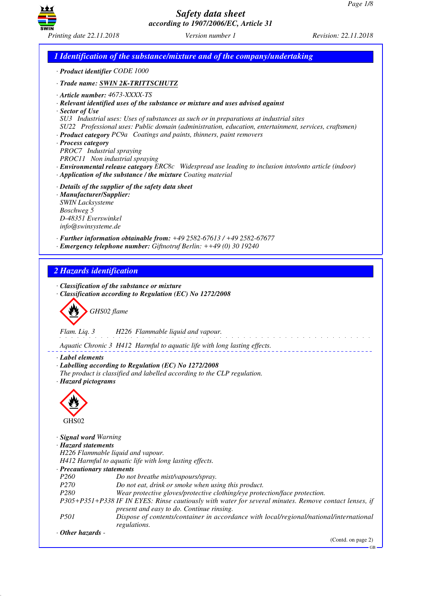

*1 Identification of the substance/mixture and of the company/undertaking · Product identifier CODE 1000 · Trade name: SWIN 2K-TRITTSCHUTZ · Article number: 4673-XXXX-TS · Relevant identified uses of the substance or mixture and uses advised against · Sector of Use SU3 Industrial uses: Uses of substances as such or in preparations at industrial sites SU22 Professional uses: Public domain (administration, education, entertainment, services, craftsmen) · Product category PC9a Coatings and paints, thinners, paint removers · Process category PROC7 Industrial spraying PROC11 Non industrial spraying · Environmental release category ERC8c Widespread use leading to inclusion into/onto article (indoor) · Application of the substance / the mixture Coating material · Details of the supplier of the safety data sheet · Manufacturer/Supplier: SWIN Lacksysteme Boschweg 5 D-48351 Everswinkel info@swinsysteme.de · Further information obtainable from: +49 2582-67613 / +49 2582-67677 · Emergency telephone number: Giftnotruf Berlin: ++49 (0) 30 19240 2 Hazards identification · Classification of the substance or mixture · Classification according to Regulation (EC) No 1272/2008* d~*GHS02 flame Flam. Liq. 3 H226 Flammable liquid and vapour.* <u>.</u> . . . . . . . . . . . . . . *Aquatic Chronic 3 H412 Harmful to aquatic life with long lasting effects. · Label elements · Labelling according to Regulation (EC) No 1272/2008 The product is classified and labelled according to the CLP regulation. · Hazard pictograms* < GHS<sub>02</sub> *· Signal word Warning · Hazard statements H226 Flammable liquid and vapour. H412 Harmful to aquatic life with long lasting effects. · Precautionary statements P260 Do not breathe mist/vapours/spray. P270 Do not eat, drink or smoke when using this product. P280 Wear protective gloves/protective clothing/eye protection/face protection. P305+P351+P338 IF IN EYES: Rinse cautiously with water for several minutes. Remove contact lenses, if present and easy to do. Continue rinsing. P501 Dispose of contents/container in accordance with local/regional/national/international regulations. · Other hazards -*  (Contd. on page 2)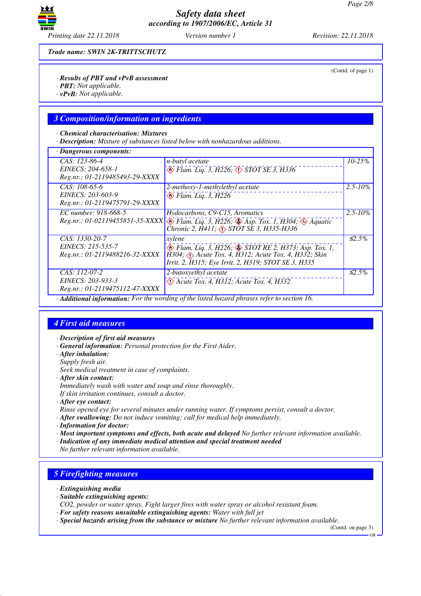

(Contd. of page 1)

*Trade name: SWIN 2K-TRITTSCHUTZ*

#### *· Results of PBT and vPvB assessment*

- *· PBT: Not applicable.*
- *· vPvB: Not applicable.*

### *3 Composition/information on ingredients*

#### *· Chemical characterisation: Mixtures*

*· Description: Mixture of substances listed below with nonhazardous additions.*

| · Dangerous components:                                                                                                                                                                                                                                               |              |
|-----------------------------------------------------------------------------------------------------------------------------------------------------------------------------------------------------------------------------------------------------------------------|--------------|
| CAS: 123-86-4<br>n-butyl acetate<br>$\circledast$ Flam. Liq. 3, H226; $\circledast$ STOT SE 3, H336<br>EINECS: 204-658-1<br>Reg.nr.: 01-2119485493-29-XXXX                                                                                                            | $10 - 25\%$  |
| $CAS: 108-65-6$<br>2-methoxy-1-methylethyl acetate<br>EINECS: 203-603-9<br>$\otimes$ Flam. Liq. 3, H226<br>Reg.nr.: 01-2119475791-29-XXXX                                                                                                                             | $2.5 - 10\%$ |
| EC number: 918-668-5<br>Hydocarbons, C9-C15, Aromatics<br>Reg.nr.: 01-02119455851-35-XXXX \ Flam. Liq. 3, H226; Asp. Tox. 1, H304; A Aquatic<br>Chronic 2, H411; <> STOT SE 3, H335-H336                                                                              | $2.5 - 10\%$ |
| CAS: 1330-20-7<br>xylene<br>EINECS: 215-535-7<br>$\otimes$ Flam. Liq. 3, H226; $\otimes$ STOT RE 2, H373; Asp. Tox. 1,<br>H304; Acute Tox. 4, H312; Acute Tox. 4, H332; Skin<br>Reg.nr.: 01-2119488216-32-XXXX<br>Irrit. 2, H315; Eye Irrit. 2, H319; STOT SE 3, H335 | $\leq 2.5\%$ |
| CAS: 112-07-2<br>2-butoxyethyl acetate<br>EINECS: 203-933-3<br>$\Diamond$ Acute Tox. 4, H312; Acute Tox. 4, H332<br>Reg.nr.: 01-2119475112-47-XXXX<br>$\cdot$ Additional information: For the wording of the listed hazard phrases refer to section 16.               | $\leq 2.5\%$ |

### *4 First aid measures*

- *· Description of first aid measures*
- *· General information: Personal protection for the First Aider.*
- *· After inhalation:*
- *Supply fresh air.*
- *Seek medical treatment in case of complaints.*
- *· After skin contact:*
- *Immediately wash with water and soap and rinse thoroughly.*
- *If skin irritation continues, consult a doctor.*
- *· After eye contact:*
- *Rinse opened eye for several minutes under running water. If symptoms persist, consult a doctor.*
- *· After swallowing: Do not induce vomiting; call for medical help immediately.*
- *· Information for doctor:*
- *· Most important symptoms and effects, both acute and delayed No further relevant information available.*
- *· Indication of any immediate medical attention and special treatment needed*
- *No further relevant information available.*

## *5 Firefighting measures*

- *· Extinguishing media*
- *· Suitable extinguishing agents:*
- *CO2, powder or water spray. Fight larger fires with water spray or alcohol resistant foam.*
- *· For safety reasons unsuitable extinguishing agents: Water with full jet*
- *· Special hazards arising from the substance or mixture No further relevant information available.*

(Contd. on page 3)

GB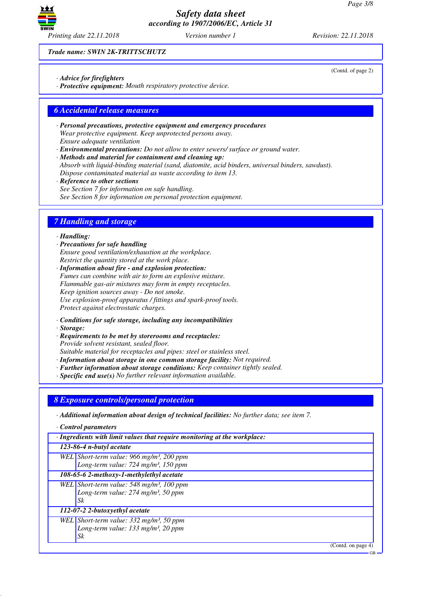

*Trade name: SWIN 2K-TRITTSCHUTZ*

- *· Advice for firefighters*
- *· Protective equipment: Mouth respiratory protective device.*

### *6 Accidental release measures*

- *· Personal precautions, protective equipment and emergency procedures Wear protective equipment. Keep unprotected persons away. Ensure adequate ventilation*
- *· Environmental precautions: Do not allow to enter sewers/ surface or ground water.*

*· Methods and material for containment and cleaning up: Absorb with liquid-binding material (sand, diatomite, acid binders, universal binders, sawdust). Dispose contaminated material as waste according to item 13.*

*· Reference to other sections See Section 7 for information on safe handling. See Section 8 for information on personal protection equipment.*

# *7 Handling and storage*

#### *· Handling:*

*· Precautions for safe handling Ensure good ventilation/exhaustion at the workplace. Restrict the quantity stored at the work place.*

*· Information about fire - and explosion protection: Fumes can combine with air to form an explosive mixture. Flammable gas-air mixtures may form in empty receptacles. Keep ignition sources away - Do not smoke. Use explosion-proof apparatus / fittings and spark-proof tools. Protect against electrostatic charges.*

- *· Conditions for safe storage, including any incompatibilities*
- *· Storage:*
- *· Requirements to be met by storerooms and receptacles: Provide solvent resistant, sealed floor. Suitable material for receptacles and pipes: steel or stainless steel.*
- *· Information about storage in one common storage facility: Not required.*
- *· Further information about storage conditions: Keep container tightly sealed.*
- *· Specific end use(s) No further relevant information available.*

### *8 Exposure controls/personal protection*

*· Additional information about design of technical facilities: No further data; see item 7.*

*· Control parameters*

| $\cdot$ Ingredients with limit values that require monitoring at the workplace: |                                                       |  |
|---------------------------------------------------------------------------------|-------------------------------------------------------|--|
| $123-86-4$ n-butyl acetate                                                      |                                                       |  |
|                                                                                 | WEL Short-term value: 966 mg/m <sup>3</sup> , 200 ppm |  |
|                                                                                 | Long-term value: 724 mg/m <sup>3</sup> , 150 ppm      |  |
|                                                                                 | 108-65-6 2-methoxy-1-methylethyl acetate              |  |
|                                                                                 | WEL Short-term value: 548 mg/m <sup>3</sup> , 100 ppm |  |
|                                                                                 | Long-term value: $274$ mg/m <sup>3</sup> , 50 ppm     |  |
|                                                                                 | Sk                                                    |  |
|                                                                                 | 112-07-2 2-butoxyethyl acetate                        |  |
|                                                                                 | WEL Short-term value: $332 \text{ mg/m}^3$ , 50 ppm   |  |
|                                                                                 | Long-term value: $133$ mg/m <sup>3</sup> , 20 ppm     |  |
|                                                                                 | Sk                                                    |  |

(Contd. on page 4)

GB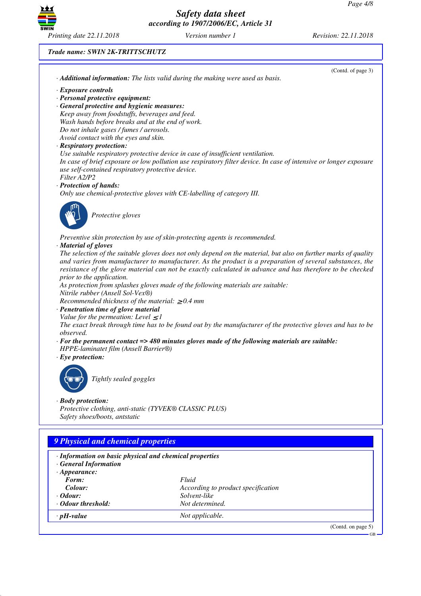

### *Trade name: SWIN 2K-TRITTSCHUTZ*

|                                                                                                                                                               | · Additional information: The lists valid during the making were used as basis.                                   |
|---------------------------------------------------------------------------------------------------------------------------------------------------------------|-------------------------------------------------------------------------------------------------------------------|
| · Exposure controls                                                                                                                                           |                                                                                                                   |
| · Personal protective equipment:                                                                                                                              |                                                                                                                   |
| · General protective and hygienic measures:                                                                                                                   |                                                                                                                   |
| Keep away from foodstuffs, beverages and feed.                                                                                                                |                                                                                                                   |
| Wash hands before breaks and at the end of work.                                                                                                              |                                                                                                                   |
| Do not inhale gases / fumes / aerosols.                                                                                                                       |                                                                                                                   |
| Avoid contact with the eyes and skin.                                                                                                                         |                                                                                                                   |
| · Respiratory protection:                                                                                                                                     | Use suitable respiratory protective device in case of insufficient ventilation.                                   |
|                                                                                                                                                               | In case of brief exposure or low pollution use respiratory filter device. In case of intensive or longer exposure |
| use self-contained respiratory protective device.                                                                                                             |                                                                                                                   |
| Filter A2/P2                                                                                                                                                  |                                                                                                                   |
| · Protection of hands:                                                                                                                                        |                                                                                                                   |
|                                                                                                                                                               | Only use chemical-protective gloves with CE-labelling of category III.                                            |
|                                                                                                                                                               |                                                                                                                   |
|                                                                                                                                                               |                                                                                                                   |
| Protective gloves                                                                                                                                             |                                                                                                                   |
|                                                                                                                                                               |                                                                                                                   |
|                                                                                                                                                               | Preventive skin protection by use of skin-protecting agents is recommended.                                       |
| · Material of gloves                                                                                                                                          |                                                                                                                   |
|                                                                                                                                                               | The selection of the suitable gloves does not only depend on the material, but also on further marks of quality   |
|                                                                                                                                                               | and varies from manufacturer to manufacturer. As the product is a preparation of several substances, the          |
|                                                                                                                                                               | resistance of the glove material can not be exactly calculated in advance and has therefore to be checked         |
| prior to the application.                                                                                                                                     |                                                                                                                   |
|                                                                                                                                                               | As protection from splashes gloves made of the following materials are suitable:                                  |
| Nitrile rubber (Ansell Sol-Vex®)                                                                                                                              |                                                                                                                   |
| Recommended thickness of the material: $\geq 0.4$ mm                                                                                                          |                                                                                                                   |
| · Penetration time of glove material                                                                                                                          |                                                                                                                   |
| Value for the permeation: Level $\leq$ 1                                                                                                                      |                                                                                                                   |
|                                                                                                                                                               | The exact break through time has to be found out by the manufacturer of the protective gloves and has to be       |
| observed.                                                                                                                                                     |                                                                                                                   |
|                                                                                                                                                               | $\cdot$ For the permanent contact => 480 minutes gloves made of the following materials are suitable:             |
| HPPE-laminatet film (Ansell Barrier®)                                                                                                                         |                                                                                                                   |
| $\cdot$ Eye protection:                                                                                                                                       |                                                                                                                   |
|                                                                                                                                                               |                                                                                                                   |
| Tightly sealed goggles                                                                                                                                        |                                                                                                                   |
|                                                                                                                                                               |                                                                                                                   |
|                                                                                                                                                               |                                                                                                                   |
|                                                                                                                                                               |                                                                                                                   |
|                                                                                                                                                               |                                                                                                                   |
| Protective clothing, anti-static (TYVEK® CLASSIC PLUS)                                                                                                        |                                                                                                                   |
| · Body protection:<br>Safety shoes/boots, antstatic                                                                                                           |                                                                                                                   |
|                                                                                                                                                               |                                                                                                                   |
|                                                                                                                                                               |                                                                                                                   |
|                                                                                                                                                               |                                                                                                                   |
|                                                                                                                                                               |                                                                                                                   |
|                                                                                                                                                               |                                                                                                                   |
|                                                                                                                                                               |                                                                                                                   |
| <b>9 Physical and chemical properties</b><br>· Information on basic physical and chemical properties<br>· General Information<br>$\cdot$ Appearance:<br>Form: | Fluid                                                                                                             |
| Colour:                                                                                                                                                       | According to product specification                                                                                |
| $\cdot$ Odour:                                                                                                                                                | Solvent-like                                                                                                      |
| · Odour threshold:                                                                                                                                            | Not determined.                                                                                                   |
| $\cdot$ pH-value                                                                                                                                              | Not applicable.                                                                                                   |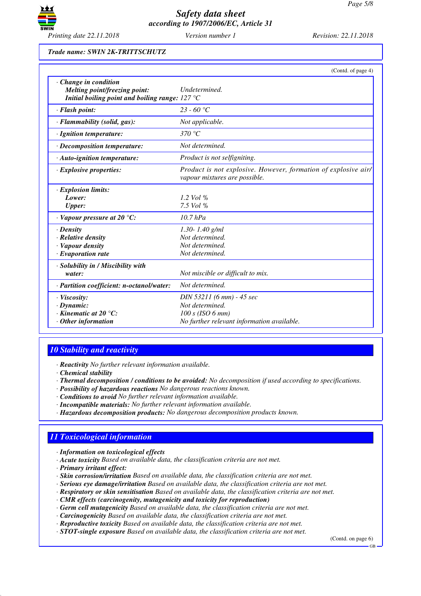

#### *Trade name: SWIN 2K-TRITTSCHUTZ*

|                                                                                                                          | (Contd. of page 4)                                                                              |
|--------------------------------------------------------------------------------------------------------------------------|-------------------------------------------------------------------------------------------------|
| $\cdot$ Change in condition<br>Melting point/freezing point:<br>Initial boiling point and boiling range: $127^{\circ}$ C | Undetermined.                                                                                   |
| · Flash point:                                                                                                           | $23 - 60$ °C                                                                                    |
| · Flammability (solid, gas):                                                                                             | Not applicable.                                                                                 |
| · Ignition temperature:                                                                                                  | 370 °C                                                                                          |
| $\cdot$ Decomposition temperature:                                                                                       | Not determined.                                                                                 |
| $\cdot$ Auto-ignition temperature:                                                                                       | <i>Product is not selfigniting.</i>                                                             |
| $\cdot$ Explosive properties:                                                                                            | Product is not explosive. However, formation of explosive air/<br>vapour mixtures are possible. |
| · Explosion limits:                                                                                                      |                                                                                                 |
| Lower:                                                                                                                   | 1.2 Vol $\%$                                                                                    |
| <b>Upper:</b>                                                                                                            | 7.5 Vol %                                                                                       |
| $\cdot$ Vapour pressure at 20 $\degree$ C:                                                                               | $10.7$ hPa                                                                                      |
| $\cdot$ Density                                                                                                          | $1.30 - 1.40$ g/ml                                                                              |
| · Relative density                                                                                                       | Not determined.                                                                                 |
| · Vapour density                                                                                                         | Not determined.                                                                                 |
| $\cdot$ Evaporation rate                                                                                                 | Not determined.                                                                                 |
| · Solubility in / Miscibility with                                                                                       |                                                                                                 |
| water:                                                                                                                   | Not miscible or difficult to mix.                                                               |
| · Partition coefficient: n-octanol/water:                                                                                | Not determined.                                                                                 |
| · Viscosity:                                                                                                             | DIN 53211 (6 mm) - 45 sec                                                                       |
| $\cdot$ Dynamic:                                                                                                         | Not determined.                                                                                 |
| $\cdot$ Kinematic at 20 $\degree$ C:                                                                                     | $100 s$ (ISO 6 mm)                                                                              |
| $\cdot$ Other information                                                                                                | No further relevant information available.                                                      |

### *10 Stability and reactivity*

*· Reactivity No further relevant information available.*

*· Chemical stability*

- *· Thermal decomposition / conditions to be avoided: No decomposition if used according to specifications.*
- *· Possibility of hazardous reactions No dangerous reactions known.*
- *· Conditions to avoid No further relevant information available.*
- *· Incompatible materials: No further relevant information available.*
- *· Hazardous decomposition products: No dangerous decomposition products known.*

## *11 Toxicological information*

- *· Information on toxicological effects*
- *· Acute toxicity Based on available data, the classification criteria are not met.*
- *· Primary irritant effect:*
- *· Skin corrosion/irritation Based on available data, the classification criteria are not met.*
- *· Serious eye damage/irritation Based on available data, the classification criteria are not met.*
- *· Respiratory or skin sensitisation Based on available data, the classification criteria are not met.*
- *· CMR effects (carcinogenity, mutagenicity and toxicity for reproduction)*
- *· Germ cell mutagenicity Based on available data, the classification criteria are not met.*
- *· Carcinogenicity Based on available data, the classification criteria are not met.*
- *· Reproductive toxicity Based on available data, the classification criteria are not met.*
- *· STOT-single exposure Based on available data, the classification criteria are not met.*

(Contd. on page 6) GB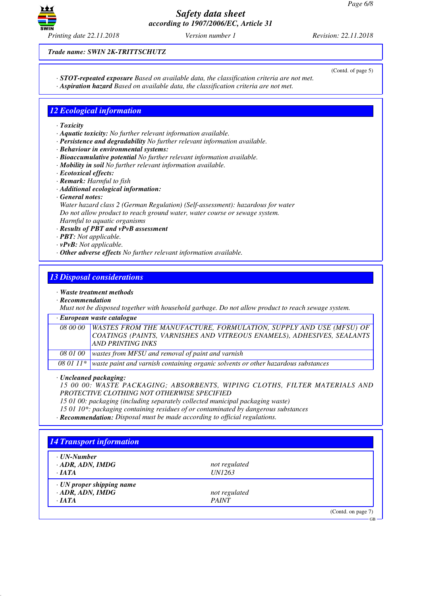

*Trade name: SWIN 2K-TRITTSCHUTZ*

(Contd. of page 5)

GB

- *· STOT-repeated exposure Based on available data, the classification criteria are not met.*
- *· Aspiration hazard Based on available data, the classification criteria are not met.*

## *12 Ecological information*

- *· Toxicity*
- *· Aquatic toxicity: No further relevant information available.*
- *· Persistence and degradability No further relevant information available.*
- *· Behaviour in environmental systems:*
- *· Bioaccumulative potential No further relevant information available.*
- *· Mobility in soil No further relevant information available.*
- *· Ecotoxical effects:*
- *· Remark: Harmful to fish*
- *· Additional ecological information:*
- *· General notes:*

*Water hazard class 2 (German Regulation) (Self-assessment): hazardous for water Do not allow product to reach ground water, water course or sewage system. Harmful to aquatic organisms*

- *· Results of PBT and vPvB assessment*
- *· PBT: Not applicable.*
- *· vPvB: Not applicable.*
- *· Other adverse effects No further relevant information available.*

### *13 Disposal considerations*

#### *· Waste treatment methods*

*· Recommendation*

*Must not be disposed together with household garbage. Do not allow product to reach sewage system.*

### *· European waste catalogue*

| 08 00 00   WASTES FROM THE MANUFACTURE, FORMULATION, SUPPLY AND USE (MFSU) OF |
|-------------------------------------------------------------------------------|
| COATINGS (PAINTS, VARNISHES AND VITREOUS ENAMELS), ADHESIVES, SEALANTS        |
| AND PRINTING INKS                                                             |
| 08 01 00   wastes from MFSU and removal of paint and varnish                  |

*08 01 11\* waste paint and varnish containing organic solvents or other hazardous substances*

*· Uncleaned packaging:*

*15 00 00: WASTE PACKAGING; ABSORBENTS, WIPING CLOTHS, FILTER MATERIALS AND PROTECTIVE CLOTHING NOT OTHERWISE SPECIFIED*

*15 01 00: packaging (including separately collected municipal packaging waste)*

*15 01 10\*: packaging containing residues of or contaminated by dangerous substances*

*· Recommendation: Disposal must be made according to official regulations.*

| · UN-Number               |               |  |
|---------------------------|---------------|--|
| $\cdot$ ADR, ADN, IMDG    | not regulated |  |
| $\cdot$ JATA              | <i>UN1263</i> |  |
| · UN proper shipping name |               |  |
| $\cdot$ ADR, ADN, IMDG    | not regulated |  |
| $\cdot$ <i>IATA</i>       | <b>PAINT</b>  |  |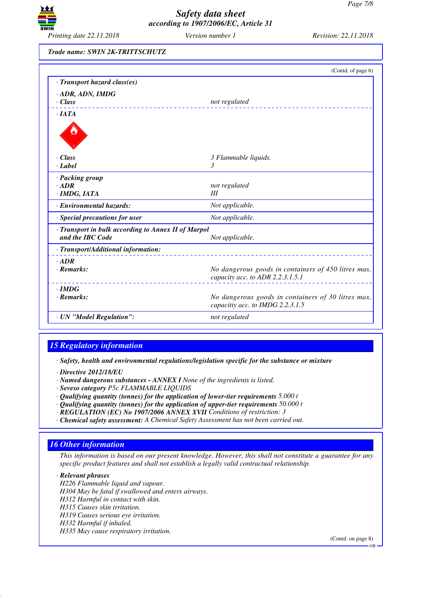

*Trade name: SWIN 2K-TRITTSCHUTZ*

|                                                                         | (Contd. of page 6)                                                                      |
|-------------------------------------------------------------------------|-----------------------------------------------------------------------------------------|
| · Transport hazard class(es)                                            |                                                                                         |
| · ADR, ADN, IMDG<br>$\cdot$ Class                                       | not regulated                                                                           |
| $\cdot$ IATA                                                            |                                                                                         |
|                                                                         |                                                                                         |
| $\cdot$ Class                                                           | 3 Flammable liquids.                                                                    |
| $\cdot$ <i>Label</i>                                                    | 3                                                                                       |
| · Packing group                                                         |                                                                                         |
| $\cdot$ ADR                                                             | not regulated                                                                           |
| $\cdot$ IMDG, IATA                                                      | Ш                                                                                       |
| · Environmental hazards:                                                | Not applicable.                                                                         |
| · Special precautions for user                                          | Not applicable.                                                                         |
| · Transport in bulk according to Annex II of Marpol<br>and the IBC Code | Not applicable.                                                                         |
| · Transport/Additional information:                                     |                                                                                         |
| $\cdot$ ADR<br>$\cdot$ Remarks:                                         | No dangerous goods in containers of 450 litres max.<br>capacity acc. to ADR 2.2.3.1.5.1 |
| $\cdot$ IMDG<br>$\cdot$ Remarks:                                        | No dangerous goods in containers of 30 litres max.<br>capacitiy acc. to IMDG 2.2.3.1.5  |
| · UN "Model Regulation":                                                | not regulated                                                                           |

## *15 Regulatory information*

*· Safety, health and environmental regulations/legislation specific for the substance or mixture*

- *· Directive 2012/18/EU*
- *· Named dangerous substances ANNEX I None of the ingredients is listed.*
- *· Seveso category P5c FLAMMABLE LIQUIDS*
- *· Qualifying quantity (tonnes) for the application of lower-tier requirements 5.000 t*
- *· Qualifying quantity (tonnes) for the application of upper-tier requirements 50.000 t*
- *· REGULATION (EC) No 1907/2006 ANNEX XVII Conditions of restriction: 3*
- *· Chemical safety assessment: A Chemical Safety Assessment has not been carried out.*

## *16 Other information*

*This information is based on our present knowledge. However, this shall not constitute a guarantee for any specific product features and shall not establish a legally valid contractual relationship.*

*· Relevant phrases H226 Flammable liquid and vapour. H304 May be fatal if swallowed and enters airways. H312 Harmful in contact with skin. H315 Causes skin irritation. H319 Causes serious eye irritation. H332 Harmful if inhaled. H335 May cause respiratory irritation.*

(Contd. on page 8)

GB